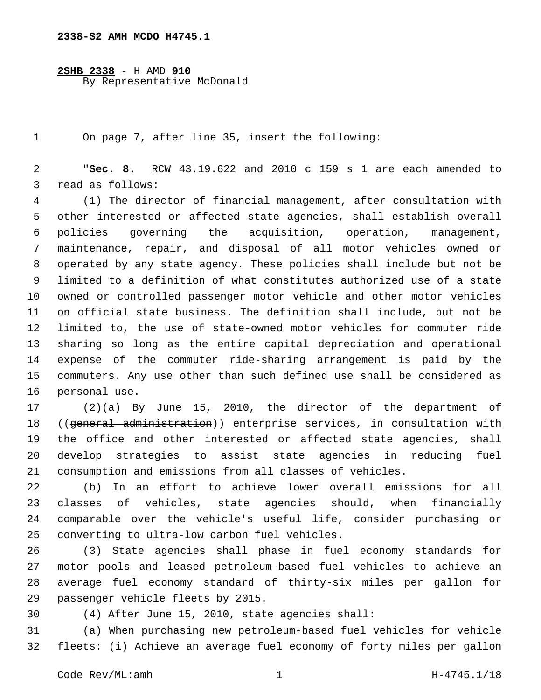## **2338-S2 AMH MCDO H4745.1**

**2SHB 2338** - H AMD **910** By Representative McDonald

On page 7, after line 35, insert the following:

 "**Sec. 8.** RCW 43.19.622 and 2010 c 159 s 1 are each amended to 3 read as follows:

 (1) The director of financial management, after consultation with other interested or affected state agencies, shall establish overall policies governing the acquisition, operation, management, maintenance, repair, and disposal of all motor vehicles owned or operated by any state agency. These policies shall include but not be limited to a definition of what constitutes authorized use of a state owned or controlled passenger motor vehicle and other motor vehicles on official state business. The definition shall include, but not be limited to, the use of state-owned motor vehicles for commuter ride sharing so long as the entire capital depreciation and operational expense of the commuter ride-sharing arrangement is paid by the commuters. Any use other than such defined use shall be considered as 16 personal use.

 (2)(a) By June 15, 2010, the director of the department of ((general administration)) enterprise services, in consultation with the office and other interested or affected state agencies, shall develop strategies to assist state agencies in reducing fuel consumption and emissions from all classes of vehicles.

 (b) In an effort to achieve lower overall emissions for all classes of vehicles, state agencies should, when financially comparable over the vehicle's useful life, consider purchasing or 25 converting to ultra-low carbon fuel vehicles.

 (3) State agencies shall phase in fuel economy standards for motor pools and leased petroleum-based fuel vehicles to achieve an average fuel economy standard of thirty-six miles per gallon for 29 passenger vehicle fleets by 2015.

(4) After June 15, 2010, state agencies shall:

 (a) When purchasing new petroleum-based fuel vehicles for vehicle fleets: (i) Achieve an average fuel economy of forty miles per gallon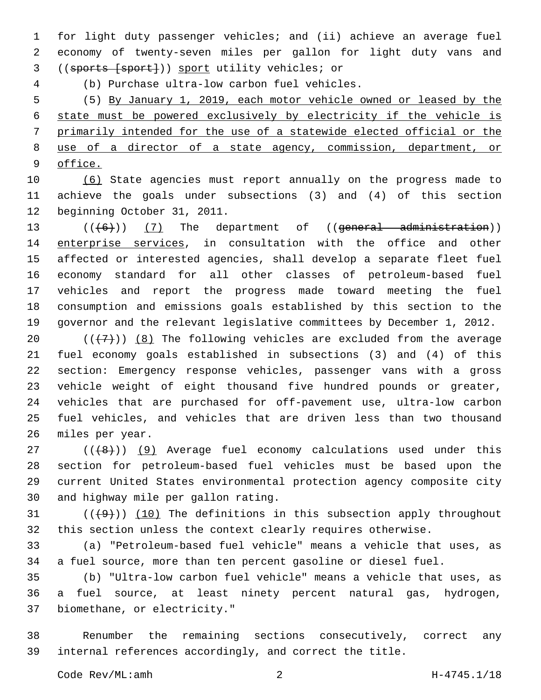for light duty passenger vehicles; and (ii) achieve an average fuel economy of twenty-seven miles per gallon for light duty vans and 3 ((sports [sport])) sport utility vehicles; or

(b) Purchase ultra-low carbon fuel vehicles.4

 (5) By January 1, 2019, each motor vehicle owned or leased by the state must be powered exclusively by electricity if the vehicle is primarily intended for the use of a statewide elected official or the use of a director of a state agency, commission, department, or office.

 (6) State agencies must report annually on the progress made to achieve the goals under subsections (3) and (4) of this section 12 beginning October 31, 2011.

 $((6+))$   $(7)$  The department of  $((general -administration))$ 14 enterprise services, in consultation with the office and other affected or interested agencies, shall develop a separate fleet fuel economy standard for all other classes of petroleum-based fuel vehicles and report the progress made toward meeting the fuel consumption and emissions goals established by this section to the governor and the relevant legislative committees by December 1, 2012.

 $((+7+))$  (8) The following vehicles are excluded from the average fuel economy goals established in subsections (3) and (4) of this section: Emergency response vehicles, passenger vans with a gross vehicle weight of eight thousand five hundred pounds or greater, vehicles that are purchased for off-pavement use, ultra-low carbon fuel vehicles, and vehicles that are driven less than two thousand 26 miles per year.

 ( $(\overline{6})$ ) (9) Average fuel economy calculations used under this section for petroleum-based fuel vehicles must be based upon the current United States environmental protection agency composite city 30 and highway mile per gallon rating.

 $(1)$  ( $(1)$ ) (10) The definitions in this subsection apply throughout this section unless the context clearly requires otherwise.

 (a) "Petroleum-based fuel vehicle" means a vehicle that uses, as a fuel source, more than ten percent gasoline or diesel fuel.

 (b) "Ultra-low carbon fuel vehicle" means a vehicle that uses, as a fuel source, at least ninety percent natural gas, hydrogen, 37 biomethane, or electricity."

 Renumber the remaining sections consecutively, correct any internal references accordingly, and correct the title.